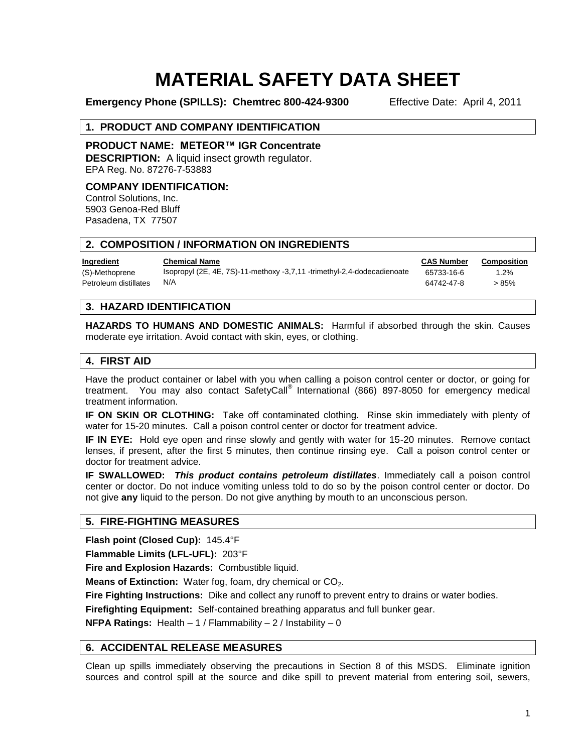# **MATERIAL SAFETY DATA SHEET**

**Emergency Phone (SPILLS): Chemtrec 800-424-9300** Effective Date: April 4, 2011

## **1. PRODUCT AND COMPANY IDENTIFICATION**

## **PRODUCT NAME: METEOR™ IGR Concentrate**

**DESCRIPTION:** A liquid insect growth regulator. EPA Reg. No. 87276-7-53883

## **COMPANY IDENTIFICATION:**

Control Solutions, Inc. 5903 Genoa-Red Bluff Pasadena, TX 77507

| 2. COMPOSITION / INFORMATION ON INGREDIENTS |                      |                   |             |
|---------------------------------------------|----------------------|-------------------|-------------|
| Ingredient                                  | <b>Chemical Name</b> | <b>CAS Number</b> | Composition |

(S)-Methoprene Isopropyl (2E, 4E, 7S)-11-methoxy -3,7,11 -trimethyl-2,4-dodecadienoate 65733-16-6 1.2% Petroleum distillates  $N/A$  > 85%

# **3. HAZARD IDENTIFICATION**

**HAZARDS TO HUMANS AND DOMESTIC ANIMALS:** Harmful if absorbed through the skin. Causes moderate eye irritation. Avoid contact with skin, eyes, or clothing.

# **4. FIRST AID**

Have the product container or label with you when calling a poison control center or doctor, or going for treatment. You may also contact SafetyCall® International (866) 897-8050 for emergency medical treatment information.

**IF ON SKIN OR CLOTHING:** Take off contaminated clothing. Rinse skin immediately with plenty of water for 15-20 minutes. Call a poison control center or doctor for treatment advice.

**IF IN EYE:** Hold eye open and rinse slowly and gently with water for 15-20 minutes. Remove contact lenses, if present, after the first 5 minutes, then continue rinsing eye. Call a poison control center or doctor for treatment advice.

**IF SWALLOWED:** *This product contains petroleum distillates*. Immediately call a poison control center or doctor. Do not induce vomiting unless told to do so by the poison control center or doctor. Do not give **any** liquid to the person. Do not give anything by mouth to an unconscious person.

# **5. FIRE-FIGHTING MEASURES**

**Flash point (Closed Cup):** 145.4°F

**Flammable Limits (LFL-UFL):** 203°F

**Fire and Explosion Hazards:** Combustible liquid.

**Means of Extinction:** Water fog, foam, dry chemical or CO<sub>2</sub>.

**Fire Fighting Instructions:** Dike and collect any runoff to prevent entry to drains or water bodies.

**Firefighting Equipment:** Self-contained breathing apparatus and full bunker gear.

**NFPA Ratings:** Health – 1 / Flammability – 2 / Instability – 0

## **6. ACCIDENTAL RELEASE MEASURES**

Clean up spills immediately observing the precautions in Section 8 of this MSDS. Eliminate ignition sources and control spill at the source and dike spill to prevent material from entering soil, sewers,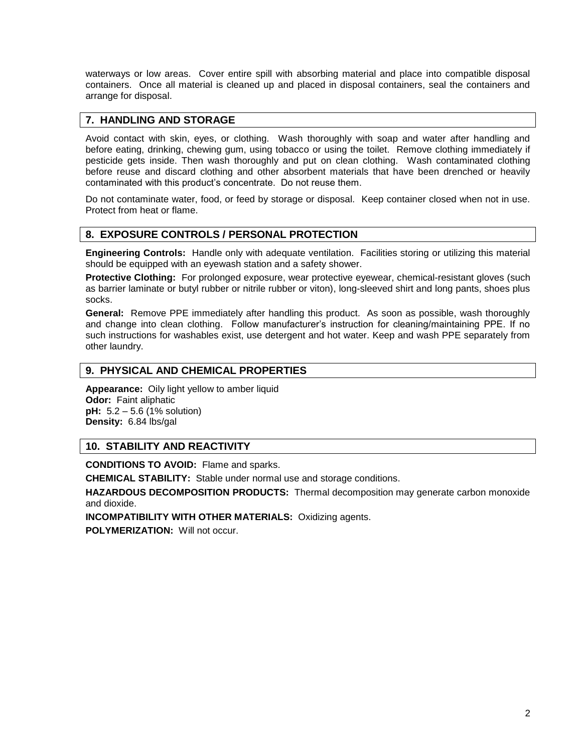waterways or low areas. Cover entire spill with absorbing material and place into compatible disposal containers. Once all material is cleaned up and placed in disposal containers, seal the containers and arrange for disposal.

# **7. HANDLING AND STORAGE**

Avoid contact with skin, eyes, or clothing. Wash thoroughly with soap and water after handling and before eating, drinking, chewing gum, using tobacco or using the toilet. Remove clothing immediately if pesticide gets inside. Then wash thoroughly and put on clean clothing. Wash contaminated clothing before reuse and discard clothing and other absorbent materials that have been drenched or heavily contaminated with this product's concentrate. Do not reuse them.

Do not contaminate water, food, or feed by storage or disposal. Keep container closed when not in use. Protect from heat or flame.

# **8. EXPOSURE CONTROLS / PERSONAL PROTECTION**

**Engineering Controls:** Handle only with adequate ventilation. Facilities storing or utilizing this material should be equipped with an eyewash station and a safety shower.

**Protective Clothing:** For prolonged exposure, wear protective eyewear, chemical-resistant gloves (such as barrier laminate or butyl rubber or nitrile rubber or viton), long-sleeved shirt and long pants, shoes plus socks.

**General:** Remove PPE immediately after handling this product. As soon as possible, wash thoroughly and change into clean clothing. Follow manufacturer's instruction for cleaning/maintaining PPE. If no such instructions for washables exist, use detergent and hot water. Keep and wash PPE separately from other laundry.

## **9. PHYSICAL AND CHEMICAL PROPERTIES**

**Appearance:** Oily light yellow to amber liquid **Odor:** Faint aliphatic **pH:** 5.2 – 5.6 (1% solution) **Density:** 6.84 lbs/gal

# **10. STABILITY AND REACTIVITY**

**CONDITIONS TO AVOID:** Flame and sparks.

**CHEMICAL STABILITY:** Stable under normal use and storage conditions.

**HAZARDOUS DECOMPOSITION PRODUCTS:** Thermal decomposition may generate carbon monoxide and dioxide.

**INCOMPATIBILITY WITH OTHER MATERIALS:** Oxidizing agents. **POLYMERIZATION:** Will not occur.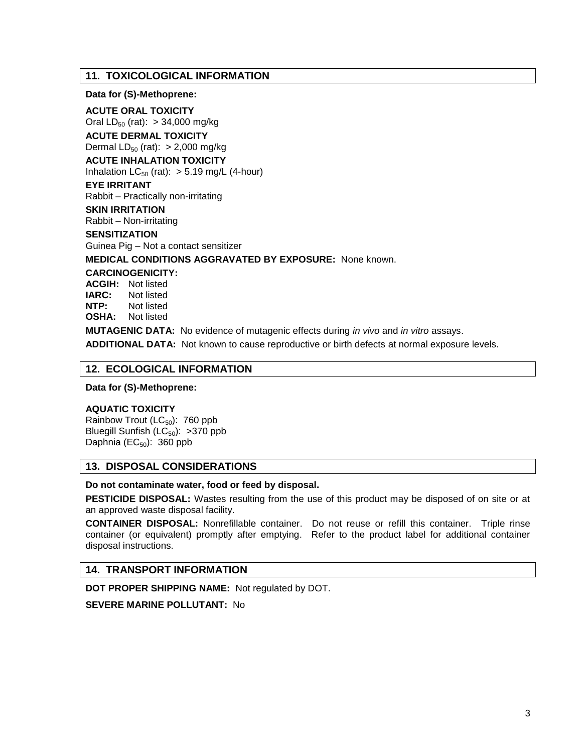# **11. TOXICOLOGICAL INFORMATION**

#### **Data for (S)-Methoprene:**

#### **ACUTE ORAL TOXICITY**

Oral  $LD_{50}$  (rat):  $> 34,000$  mg/kg **ACUTE DERMAL TOXICITY** Dermal  $LD_{50}$  (rat):  $> 2,000$  mg/kg

#### **ACUTE INHALATION TOXICITY**

Inhalation  $LC_{50}$  (rat):  $> 5.19$  mg/L (4-hour)

#### **EYE IRRITANT**

Rabbit – Practically non-irritating

#### **SKIN IRRITATION** Rabbit – Non-irritating

# **SENSITIZATION**

Guinea Pig – Not a contact sensitizer

**MEDICAL CONDITIONS AGGRAVATED BY EXPOSURE:** None known.

#### **CARCINOGENICITY:**

**ACGIH:** Not listed **IARC:** Not listed **NTP:** Not listed **OSHA:** Not listed

**MUTAGENIC DATA:** No evidence of mutagenic effects during *in vivo* and *in vitro* assays.

**ADDITIONAL DATA:** Not known to cause reproductive or birth defects at normal exposure levels.

## **12. ECOLOGICAL INFORMATION**

#### **Data for (S)-Methoprene:**

## **AQUATIC TOXICITY**

Rainbow Trout ( $LC_{50}$ ): 760 ppb Bluegill Sunfish  $(LC_{50})$ : >370 ppb Daphnia  $(EC_{50})$ : 360 ppb

# **13. DISPOSAL CONSIDERATIONS**

#### **Do not contaminate water, food or feed by disposal.**

**PESTICIDE DISPOSAL:** Wastes resulting from the use of this product may be disposed of on site or at an approved waste disposal facility.

**CONTAINER DISPOSAL:** Nonrefillable container. Do not reuse or refill this container. Triple rinse container (or equivalent) promptly after emptying. Refer to the product label for additional container disposal instructions.

## **14. TRANSPORT INFORMATION**

**DOT PROPER SHIPPING NAME:** Not regulated by DOT.

**SEVERE MARINE POLLUTANT:** No